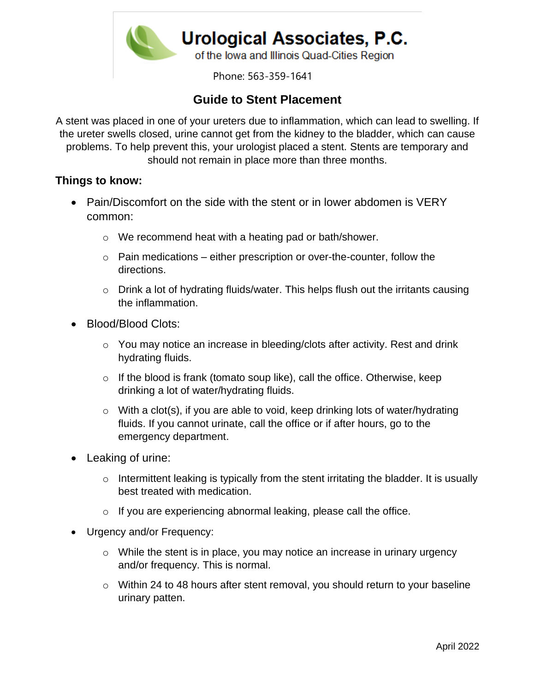

Phone: 563-359-1641

## **Guide to Stent Placement**

A stent was placed in one of your ureters due to inflammation, which can lead to swelling. If the ureter swells closed, urine cannot get from the kidney to the bladder, which can cause problems. To help prevent this, your urologist placed a stent. Stents are temporary and should not remain in place more than three months.

## **Things to know:**

- Pain/Discomfort on the side with the stent or in lower abdomen is VERY common:
	- o We recommend heat with a heating pad or bath/shower.
	- $\circ$  Pain medications either prescription or over-the-counter, follow the directions.
	- o Drink a lot of hydrating fluids/water. This helps flush out the irritants causing the inflammation.
- Blood/Blood Clots:
	- o You may notice an increase in bleeding/clots after activity. Rest and drink hydrating fluids.
	- $\circ$  If the blood is frank (tomato soup like), call the office. Otherwise, keep drinking a lot of water/hydrating fluids.
	- $\circ$  With a clot(s), if you are able to void, keep drinking lots of water/hydrating fluids. If you cannot urinate, call the office or if after hours, go to the emergency department.
- Leaking of urine:
	- o Intermittent leaking is typically from the stent irritating the bladder. It is usually best treated with medication.
	- $\circ$  If you are experiencing abnormal leaking, please call the office.
- Urgency and/or Frequency:
	- o While the stent is in place, you may notice an increase in urinary urgency and/or frequency. This is normal.
	- o Within 24 to 48 hours after stent removal, you should return to your baseline urinary patten.